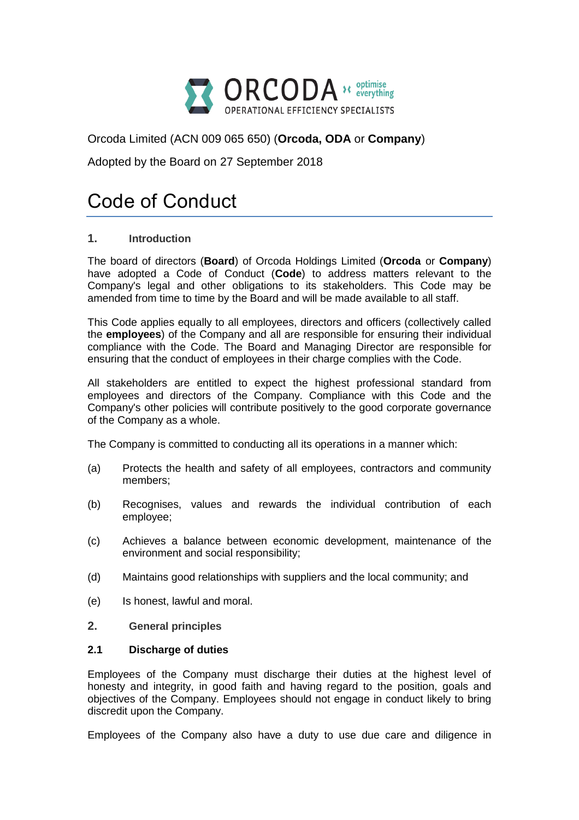

Orcoda Limited (ACN 009 065 650) (**Orcoda, ODA** or **Company**)

Adopted by the Board on 27 September 2018

# Code of Conduct

# **1. Introduction**

The board of directors (**Board**) of Orcoda Holdings Limited (**Orcoda** or **Company**) have adopted a Code of Conduct (**Code**) to address matters relevant to the Company's legal and other obligations to its stakeholders. This Code may be amended from time to time by the Board and will be made available to all staff.

This Code applies equally to all employees, directors and officers (collectively called the **employees**) of the Company and all are responsible for ensuring their individual compliance with the Code. The Board and Managing Director are responsible for ensuring that the conduct of employees in their charge complies with the Code.

All stakeholders are entitled to expect the highest professional standard from employees and directors of the Company. Compliance with this Code and the Company's other policies will contribute positively to the good corporate governance of the Company as a whole.

The Company is committed to conducting all its operations in a manner which:

- (a) Protects the health and safety of all employees, contractors and community members;
- (b) Recognises, values and rewards the individual contribution of each employee;
- (c) Achieves a balance between economic development, maintenance of the environment and social responsibility;
- (d) Maintains good relationships with suppliers and the local community; and
- (e) Is honest, lawful and moral.
- **2. General principles**

## **2.1 Discharge of duties**

Employees of the Company must discharge their duties at the highest level of honesty and integrity, in good faith and having regard to the position, goals and objectives of the Company. Employees should not engage in conduct likely to bring discredit upon the Company.

Employees of the Company also have a duty to use due care and diligence in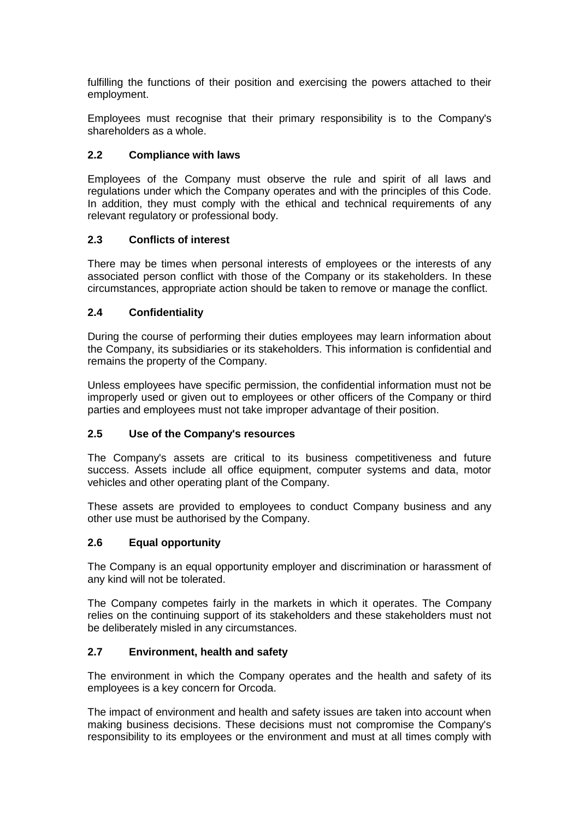fulfilling the functions of their position and exercising the powers attached to their employment.

Employees must recognise that their primary responsibility is to the Company's shareholders as a whole.

## **2.2 Compliance with laws**

Employees of the Company must observe the rule and spirit of all laws and regulations under which the Company operates and with the principles of this Code. In addition, they must comply with the ethical and technical requirements of any relevant regulatory or professional body.

## **2.3 Conflicts of interest**

There may be times when personal interests of employees or the interests of any associated person conflict with those of the Company or its stakeholders. In these circumstances, appropriate action should be taken to remove or manage the conflict.

# **2.4 Confidentiality**

During the course of performing their duties employees may learn information about the Company, its subsidiaries or its stakeholders. This information is confidential and remains the property of the Company.

Unless employees have specific permission, the confidential information must not be improperly used or given out to employees or other officers of the Company or third parties and employees must not take improper advantage of their position.

## **2.5 Use of the Company's resources**

The Company's assets are critical to its business competitiveness and future success. Assets include all office equipment, computer systems and data, motor vehicles and other operating plant of the Company.

These assets are provided to employees to conduct Company business and any other use must be authorised by the Company.

## **2.6 Equal opportunity**

The Company is an equal opportunity employer and discrimination or harassment of any kind will not be tolerated.

The Company competes fairly in the markets in which it operates. The Company relies on the continuing support of its stakeholders and these stakeholders must not be deliberately misled in any circumstances.

# **2.7 Environment, health and safety**

The environment in which the Company operates and the health and safety of its employees is a key concern for Orcoda.

The impact of environment and health and safety issues are taken into account when making business decisions. These decisions must not compromise the Company's responsibility to its employees or the environment and must at all times comply with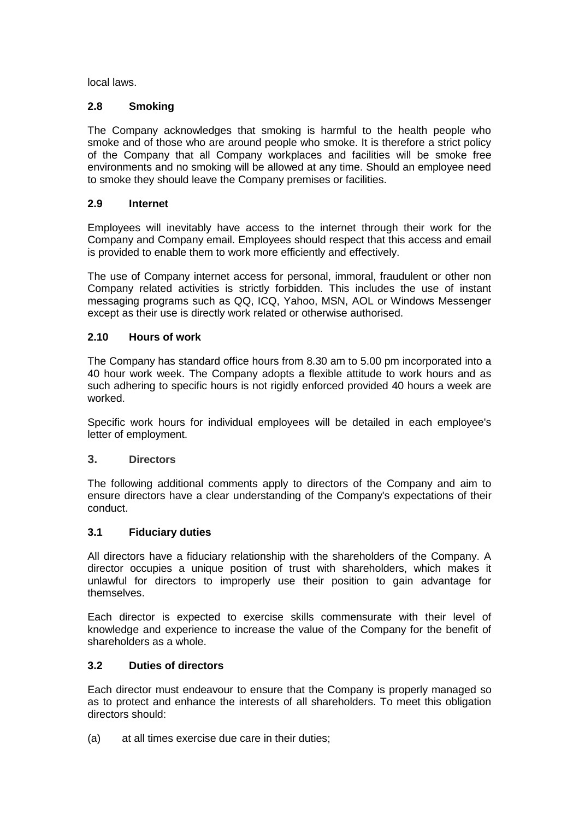local laws.

# **2.8 Smoking**

The Company acknowledges that smoking is harmful to the health people who smoke and of those who are around people who smoke. It is therefore a strict policy of the Company that all Company workplaces and facilities will be smoke free environments and no smoking will be allowed at any time. Should an employee need to smoke they should leave the Company premises or facilities.

# **2.9 Internet**

Employees will inevitably have access to the internet through their work for the Company and Company email. Employees should respect that this access and email is provided to enable them to work more efficiently and effectively.

The use of Company internet access for personal, immoral, fraudulent or other non Company related activities is strictly forbidden. This includes the use of instant messaging programs such as QQ, ICQ, Yahoo, MSN, AOL or Windows Messenger except as their use is directly work related or otherwise authorised.

# **2.10 Hours of work**

The Company has standard office hours from 8.30 am to 5.00 pm incorporated into a 40 hour work week. The Company adopts a flexible attitude to work hours and as such adhering to specific hours is not rigidly enforced provided 40 hours a week are worked.

Specific work hours for individual employees will be detailed in each employee's letter of employment.

## **3. Directors**

The following additional comments apply to directors of the Company and aim to ensure directors have a clear understanding of the Company's expectations of their conduct.

## **3.1 Fiduciary duties**

All directors have a fiduciary relationship with the shareholders of the Company. A director occupies a unique position of trust with shareholders, which makes it unlawful for directors to improperly use their position to gain advantage for themselves.

Each director is expected to exercise skills commensurate with their level of knowledge and experience to increase the value of the Company for the benefit of shareholders as a whole.

# **3.2 Duties of directors**

Each director must endeavour to ensure that the Company is properly managed so as to protect and enhance the interests of all shareholders. To meet this obligation directors should:

(a) at all times exercise due care in their duties;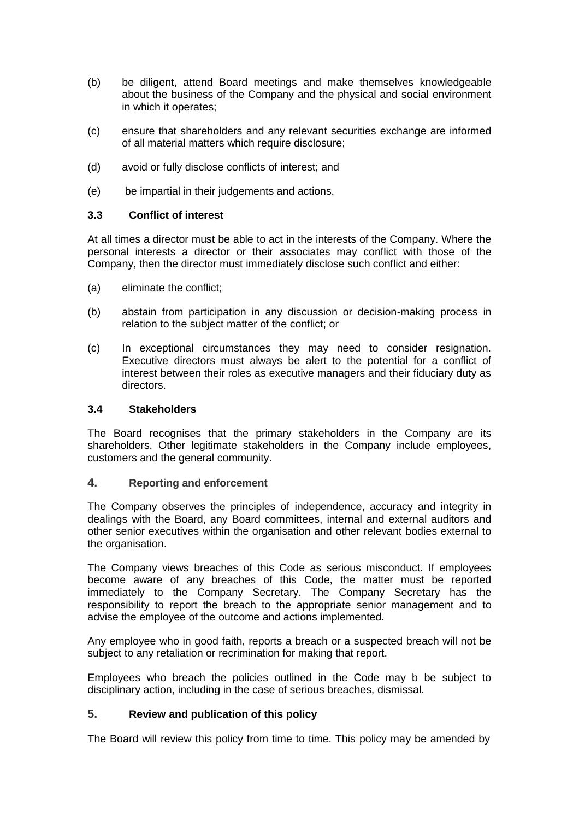- (b) be diligent, attend Board meetings and make themselves knowledgeable about the business of the Company and the physical and social environment in which it operates;
- (c) ensure that shareholders and any relevant securities exchange are informed of all material matters which require disclosure;
- (d) avoid or fully disclose conflicts of interest; and
- (e) be impartial in their judgements and actions.

#### **3.3 Conflict of interest**

At all times a director must be able to act in the interests of the Company. Where the personal interests a director or their associates may conflict with those of the Company, then the director must immediately disclose such conflict and either:

- (a) eliminate the conflict;
- (b) abstain from participation in any discussion or decision-making process in relation to the subject matter of the conflict; or
- (c) In exceptional circumstances they may need to consider resignation. Executive directors must always be alert to the potential for a conflict of interest between their roles as executive managers and their fiduciary duty as directors.

#### **3.4 Stakeholders**

The Board recognises that the primary stakeholders in the Company are its shareholders. Other legitimate stakeholders in the Company include employees, customers and the general community.

#### **4. Reporting and enforcement**

The Company observes the principles of independence, accuracy and integrity in dealings with the Board, any Board committees, internal and external auditors and other senior executives within the organisation and other relevant bodies external to the organisation.

The Company views breaches of this Code as serious misconduct. If employees become aware of any breaches of this Code, the matter must be reported immediately to the Company Secretary. The Company Secretary has the responsibility to report the breach to the appropriate senior management and to advise the employee of the outcome and actions implemented.

Any employee who in good faith, reports a breach or a suspected breach will not be subject to any retaliation or recrimination for making that report.

Employees who breach the policies outlined in the Code may b be subject to disciplinary action, including in the case of serious breaches, dismissal.

## **5. Review and publication of this policy**

The Board will review this policy from time to time. This policy may be amended by